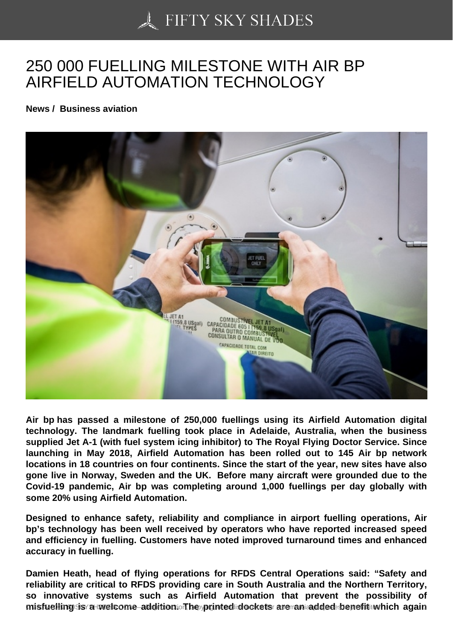## [250 000 FUELLING MI](https://50skyshades.com)LESTONE WITH AIR BP AIRFIELD AUTOMATION TECHNOLOGY

News / Business aviation

Air bp has passed a milestone of 250,000 fuellings using its Airfield Automation digital technology. The landmark fuelling took place in Adelaide, Australia, when the business supplied Jet A-1 (with fuel system icing inhibitor) to The Royal Flying Doctor Service. Since launching in May 2018, Airfield Automation has been rolled out to 145 Air bp network locations in 18 countries on four continents. Since the start of the year, new sites have also gone live in Norway, Sweden and the UK. Before many aircraft were grounded due to the Covid-19 pandemic, Air bp was completing around 1,000 fuellings per day globally with some 20% using Airfield Automation.

Designed to enhance safety, reliability and compliance in airport fuelling operations, Air bp's technology has been well received by operators who have reported increased speed and efficiency in fuelling. Customers have noted improved turnaround times and enhanced accuracy in fuelling.

Damien Heath, head of flying operations for RFDS Central Operations said: "Safety and reliability are critical to RFDS providing care in South Australia and the Northern Territory, so innovative systems such as Airfield Automation that prevent the possibility of misfuelling is a welcome addition ductive, printed dockets are annadded benefit which again and reproduction o